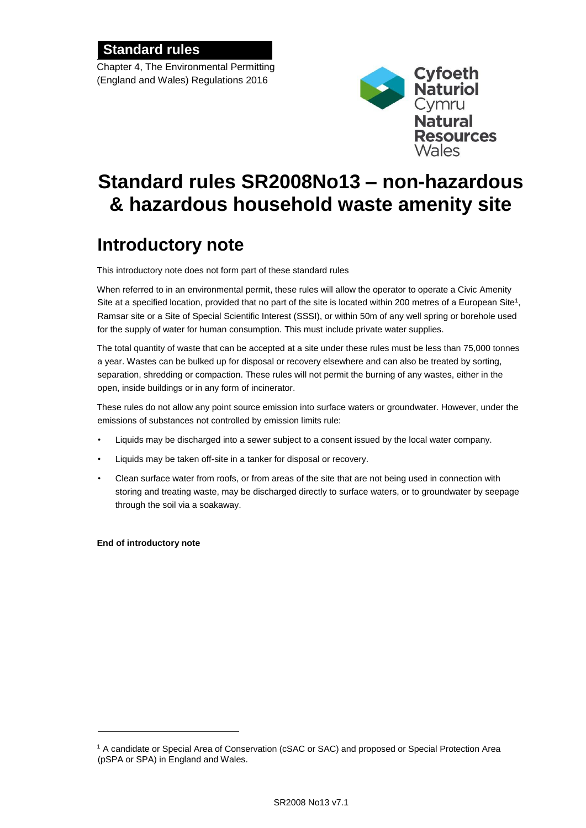### **Standard rules**

Chapter 4, The Environmental Permitting (England and Wales) Regulations 2016



## **Standard rules SR2008No13 – non-hazardous & hazardous household waste amenity site**

## **Introductory note**

This introductory note does not form part of these standard rules

When referred to in an environmental permit, these rules will allow the operator to operate a Civic Amenity Site at a specified location, provided that no part of the site is located within 200 metres of a European Site<sup>1</sup>, Ramsar site or a Site of Special Scientific Interest (SSSI), or within 50m of any well spring or borehole used for the supply of water for human consumption. This must include private water supplies.

The total quantity of waste that can be accepted at a site under these rules must be less than 75,000 tonnes a year. Wastes can be bulked up for disposal or recovery elsewhere and can also be treated by sorting, separation, shredding or compaction. These rules will not permit the burning of any wastes, either in the open, inside buildings or in any form of incinerator.

These rules do not allow any point source emission into surface waters or groundwater. However, under the emissions of substances not controlled by emission limits rule:

- Liquids may be discharged into a sewer subject to a consent issued by the local water company.
- Liquids may be taken off-site in a tanker for disposal or recovery.
- Clean surface water from roofs, or from areas of the site that are not being used in connection with storing and treating waste, may be discharged directly to surface waters, or to groundwater by seepage through the soil via a soakaway.

**End of introductory note**

l

<sup>1</sup> A candidate or Special Area of Conservation (cSAC or SAC) and proposed or Special Protection Area (pSPA or SPA) in England and Wales.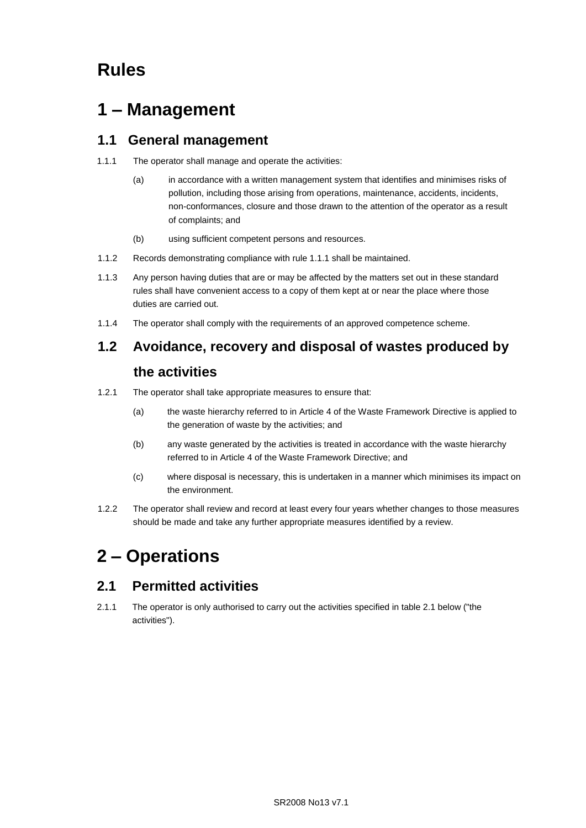## **Rules**

## **1 – Management**

### **1.1 General management**

- 1.1.1 The operator shall manage and operate the activities:
	- (a) in accordance with a written management system that identifies and minimises risks of pollution, including those arising from operations, maintenance, accidents, incidents, non-conformances, closure and those drawn to the attention of the operator as a result of complaints; and
	- (b) using sufficient competent persons and resources.
- 1.1.2 Records demonstrating compliance with rule 1.1.1 shall be maintained.
- 1.1.3 Any person having duties that are or may be affected by the matters set out in these standard rules shall have convenient access to a copy of them kept at or near the place where those duties are carried out.
- 1.1.4 The operator shall comply with the requirements of an approved competence scheme.

# **1.2 Avoidance, recovery and disposal of wastes produced by**

### **the activities**

- 1.2.1 The operator shall take appropriate measures to ensure that:
	- (a) the waste hierarchy referred to in Article 4 of the Waste Framework Directive is applied to the generation of waste by the activities; and
	- (b) any waste generated by the activities is treated in accordance with the waste hierarchy referred to in Article 4 of the Waste Framework Directive; and
	- (c) where disposal is necessary, this is undertaken in a manner which minimises its impact on the environment.
- 1.2.2 The operator shall review and record at least every four years whether changes to those measures should be made and take any further appropriate measures identified by a review.

## **2 – Operations**

### **2.1 Permitted activities**

2.1.1 The operator is only authorised to carry out the activities specified in table 2.1 below ("the activities").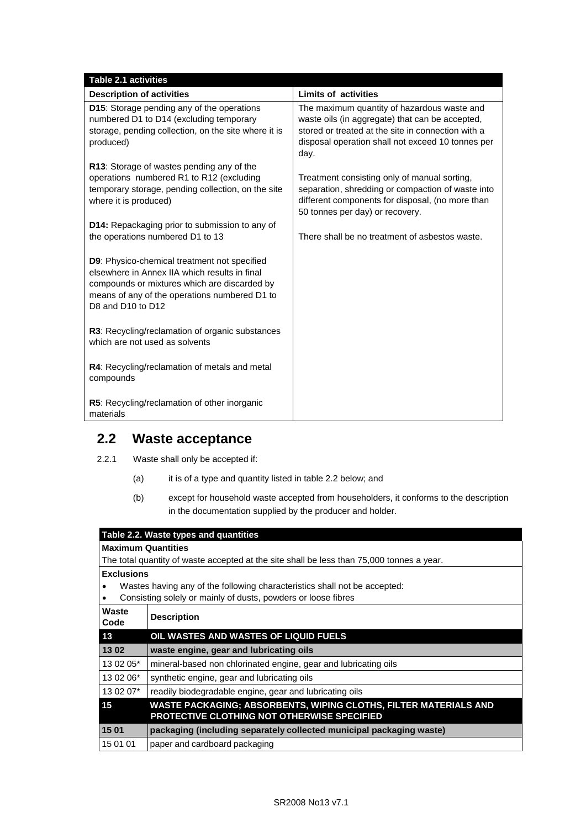| <b>Table 2.1 activities</b>                                                                                                                                                                                         |                                                                                                                                                                                                                   |
|---------------------------------------------------------------------------------------------------------------------------------------------------------------------------------------------------------------------|-------------------------------------------------------------------------------------------------------------------------------------------------------------------------------------------------------------------|
| <b>Description of activities</b>                                                                                                                                                                                    | <b>Limits of activities</b>                                                                                                                                                                                       |
| D15: Storage pending any of the operations<br>numbered D1 to D14 (excluding temporary<br>storage, pending collection, on the site where it is<br>produced)                                                          | The maximum quantity of hazardous waste and<br>waste oils (in aggregate) that can be accepted,<br>stored or treated at the site in connection with a<br>disposal operation shall not exceed 10 tonnes per<br>day. |
| R13: Storage of wastes pending any of the<br>operations numbered R1 to R12 (excluding<br>temporary storage, pending collection, on the site<br>where it is produced)                                                | Treatment consisting only of manual sorting,<br>separation, shredding or compaction of waste into<br>different components for disposal, (no more than<br>50 tonnes per day) or recovery.                          |
| <b>D14:</b> Repackaging prior to submission to any of<br>the operations numbered D1 to 13                                                                                                                           | There shall be no treatment of asbestos waste.                                                                                                                                                                    |
| D9: Physico-chemical treatment not specified<br>elsewhere in Annex IIA which results in final<br>compounds or mixtures which are discarded by<br>means of any of the operations numbered D1 to<br>D8 and D10 to D12 |                                                                                                                                                                                                                   |
| R3: Recycling/reclamation of organic substances<br>which are not used as solvents                                                                                                                                   |                                                                                                                                                                                                                   |
| R4: Recycling/reclamation of metals and metal<br>compounds                                                                                                                                                          |                                                                                                                                                                                                                   |
| R5: Recycling/reclamation of other inorganic<br>materials                                                                                                                                                           |                                                                                                                                                                                                                   |

### **2.2 Waste acceptance**

- 2.2.1 Waste shall only be accepted if:
	- (a) it is of a type and quantity listed in table 2.2 below; and
	- (b) except for household waste accepted from householders, it conforms to the description in the documentation supplied by the producer and holder.

| Table 2.2. Waste types and quantities                                                     |                                                                      |  |
|-------------------------------------------------------------------------------------------|----------------------------------------------------------------------|--|
| <b>Maximum Quantities</b>                                                                 |                                                                      |  |
| The total quantity of waste accepted at the site shall be less than 75,000 tonnes a year. |                                                                      |  |
| <b>Exclusions</b>                                                                         |                                                                      |  |
| Wastes having any of the following characteristics shall not be accepted:<br>٠            |                                                                      |  |
| Consisting solely or mainly of dusts, powders or loose fibres<br>٠                        |                                                                      |  |
| Waste<br><b>Description</b><br>Code                                                       |                                                                      |  |
|                                                                                           |                                                                      |  |
| OIL WASTES AND WASTES OF LIQUID FUELS<br>13                                               |                                                                      |  |
| 1302<br>waste engine, gear and lubricating oils                                           |                                                                      |  |
| 13 02 05*                                                                                 | mineral-based non chlorinated engine, gear and lubricating oils      |  |
| 13 02 06*<br>synthetic engine, gear and lubricating oils                                  |                                                                      |  |
| 13 02 07*                                                                                 | readily biodegradable engine, gear and lubricating oils              |  |
| 15                                                                                        | WASTE PACKAGING; ABSORBENTS, WIPING CLOTHS, FILTER MATERIALS AND     |  |
|                                                                                           | <b>PROTECTIVE CLOTHING NOT OTHERWISE SPECIFIED</b>                   |  |
| 1501                                                                                      | packaging (including separately collected municipal packaging waste) |  |
| 15 01 01<br>paper and cardboard packaging                                                 |                                                                      |  |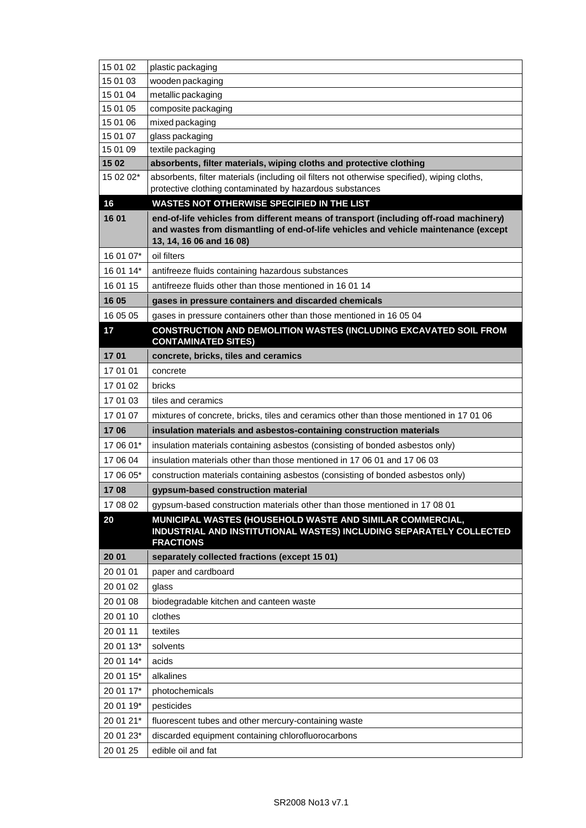| 15 01 02  | plastic packaging                                                                                                                                                                                        |
|-----------|----------------------------------------------------------------------------------------------------------------------------------------------------------------------------------------------------------|
| 15 01 03  | wooden packaging                                                                                                                                                                                         |
| 15 01 04  | metallic packaging                                                                                                                                                                                       |
| 15 01 05  | composite packaging                                                                                                                                                                                      |
| 15 01 06  | mixed packaging                                                                                                                                                                                          |
| 15 01 07  | glass packaging                                                                                                                                                                                          |
| 15 01 09  | textile packaging                                                                                                                                                                                        |
| 15 02     | absorbents, filter materials, wiping cloths and protective clothing                                                                                                                                      |
| 15 02 02* | absorbents, filter materials (including oil filters not otherwise specified), wiping cloths,                                                                                                             |
|           | protective clothing contaminated by hazardous substances                                                                                                                                                 |
| 16        | <b>WASTES NOT OTHERWISE SPECIFIED IN THE LIST</b>                                                                                                                                                        |
| 16 01     | end-of-life vehicles from different means of transport (including off-road machinery)<br>and wastes from dismantling of end-of-life vehicles and vehicle maintenance (except<br>13, 14, 16 06 and 16 08) |
| 16 01 07* | oil filters                                                                                                                                                                                              |
| 16 01 14* | antifreeze fluids containing hazardous substances                                                                                                                                                        |
| 16 01 15  | antifreeze fluids other than those mentioned in 16 01 14                                                                                                                                                 |
| 16 05     | gases in pressure containers and discarded chemicals                                                                                                                                                     |
| 16 05 05  | gases in pressure containers other than those mentioned in 16 05 04                                                                                                                                      |
| 17        | CONSTRUCTION AND DEMOLITION WASTES (INCLUDING EXCAVATED SOIL FROM<br><b>CONTAMINATED SITES)</b>                                                                                                          |
| 1701      | concrete, bricks, tiles and ceramics                                                                                                                                                                     |
| 17 01 01  | concrete                                                                                                                                                                                                 |
| 17 01 02  | bricks                                                                                                                                                                                                   |
| 17 01 03  | tiles and ceramics                                                                                                                                                                                       |
| 17 01 07  | mixtures of concrete, bricks, tiles and ceramics other than those mentioned in 17 01 06                                                                                                                  |
| 1706      | insulation materials and asbestos-containing construction materials                                                                                                                                      |
| 17 06 01* | insulation materials containing asbestos (consisting of bonded asbestos only)                                                                                                                            |
| 17 06 04  | insulation materials other than those mentioned in 17 06 01 and 17 06 03                                                                                                                                 |
| 17 06 05* | construction materials containing asbestos (consisting of bonded asbestos only)                                                                                                                          |
| 1708      | gypsum-based construction material                                                                                                                                                                       |
| 17 08 02  | gypsum-based construction materials other than those mentioned in 17 08 01                                                                                                                               |
| 20        | MUNICIPAL WASTES (HOUSEHOLD WASTE AND SIMILAR COMMERCIAL,<br>INDUSTRIAL AND INSTITUTIONAL WASTES) INCLUDING SEPARATELY COLLECTED<br><b>FRACTIONS</b>                                                     |
| 20 01     | separately collected fractions (except 15 01)                                                                                                                                                            |
| 20 01 01  | paper and cardboard                                                                                                                                                                                      |
| 20 01 02  | glass                                                                                                                                                                                                    |
| 20 01 08  | biodegradable kitchen and canteen waste                                                                                                                                                                  |
| 20 01 10  | clothes                                                                                                                                                                                                  |
| 20 01 11  | textiles                                                                                                                                                                                                 |
| 20 01 13* | solvents                                                                                                                                                                                                 |
| 20 01 14* | acids                                                                                                                                                                                                    |
| 20 01 15* | alkalines                                                                                                                                                                                                |
| 20 01 17* | photochemicals                                                                                                                                                                                           |
| 20 01 19* | pesticides                                                                                                                                                                                               |
| 20 01 21* | fluorescent tubes and other mercury-containing waste                                                                                                                                                     |
| 20 01 23* | discarded equipment containing chlorofluorocarbons                                                                                                                                                       |
| 20 01 25  | edible oil and fat                                                                                                                                                                                       |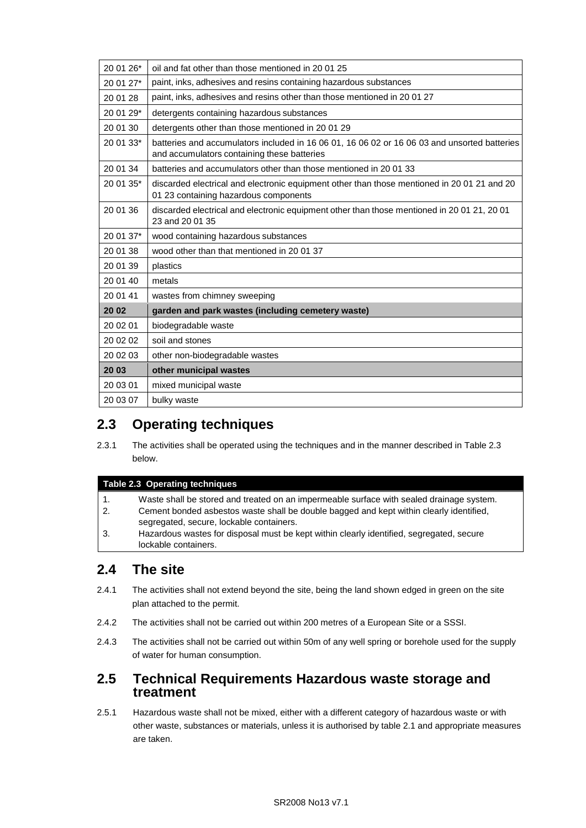| 20 01 26* | oil and fat other than those mentioned in 20 01 25                                                                                          |
|-----------|---------------------------------------------------------------------------------------------------------------------------------------------|
| 20 01 27* | paint, inks, adhesives and resins containing hazardous substances                                                                           |
| 20 01 28  | paint, inks, adhesives and resins other than those mentioned in 20 01 27                                                                    |
| 20 01 29* | detergents containing hazardous substances                                                                                                  |
| 20 01 30  | detergents other than those mentioned in 20 01 29                                                                                           |
| 20 01 33* | batteries and accumulators included in 16 06 01, 16 06 02 or 16 06 03 and unsorted batteries<br>and accumulators containing these batteries |
| 20 01 34  | batteries and accumulators other than those mentioned in 2001 33                                                                            |
| 20 01 35* | discarded electrical and electronic equipment other than those mentioned in 20 01 21 and 20<br>01 23 containing hazardous components        |
| 20 01 36  | discarded electrical and electronic equipment other than those mentioned in 20 01 21, 20 01<br>23 and 20 01 35                              |
| 20 01 37* | wood containing hazardous substances                                                                                                        |
| 20 01 38  | wood other than that mentioned in 20 01 37                                                                                                  |
| 20 01 39  | plastics                                                                                                                                    |
| 20 01 40  | metals                                                                                                                                      |
| 20 01 41  | wastes from chimney sweeping                                                                                                                |
| 20 02     | garden and park wastes (including cemetery waste)                                                                                           |
| 20 02 01  | biodegradable waste                                                                                                                         |
| 20 02 02  | soil and stones                                                                                                                             |
| 20 02 03  | other non-biodegradable wastes                                                                                                              |
| 20 03     | other municipal wastes                                                                                                                      |
| 20 03 01  | mixed municipal waste                                                                                                                       |
| 20 03 07  | bulky waste                                                                                                                                 |
|           |                                                                                                                                             |

### **2.3 Operating techniques**

2.3.1 The activities shall be operated using the techniques and in the manner described in Table 2.3 below.

#### **Table 2.3 Operating techniques**

- 1. Waste shall be stored and treated on an impermeable surface with sealed drainage system.
- 2. Cement bonded asbestos waste shall be double bagged and kept within clearly identified, segregated, secure, lockable containers.
- 3. Hazardous wastes for disposal must be kept within clearly identified, segregated, secure lockable containers.

### **2.4 The site**

- 2.4.1 The activities shall not extend beyond the site, being the land shown edged in green on the site plan attached to the permit.
- 2.4.2 The activities shall not be carried out within 200 metres of a European Site or a SSSI.
- 2.4.3 The activities shall not be carried out within 50m of any well spring or borehole used for the supply of water for human consumption.

### **2.5 Technical Requirements Hazardous waste storage and treatment**

2.5.1 Hazardous waste shall not be mixed, either with a different category of hazardous waste or with other waste, substances or materials, unless it is authorised by table 2.1 and appropriate measures are taken.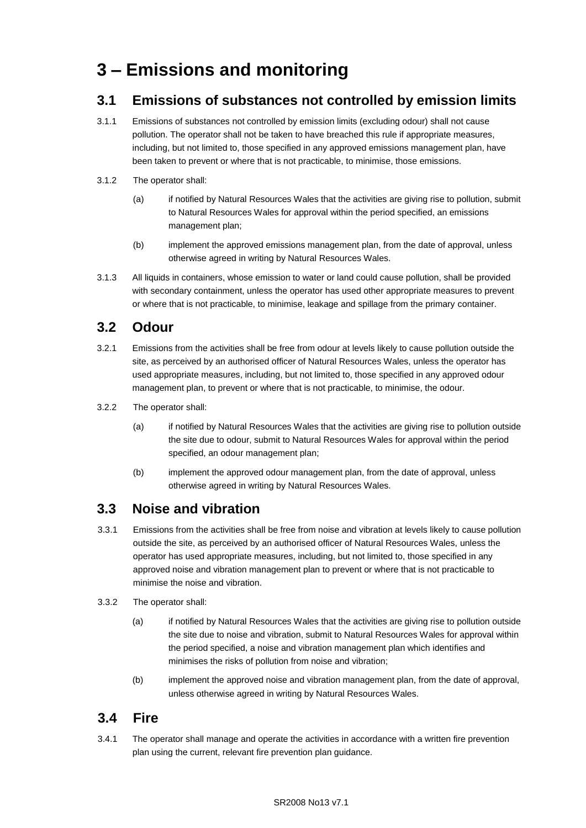## **3 – Emissions and monitoring**

### **3.1 Emissions of substances not controlled by emission limits**

- 3.1.1 Emissions of substances not controlled by emission limits (excluding odour) shall not cause pollution. The operator shall not be taken to have breached this rule if appropriate measures, including, but not limited to, those specified in any approved emissions management plan, have been taken to prevent or where that is not practicable, to minimise, those emissions.
- 3.1.2 The operator shall:
	- (a) if notified by Natural Resources Wales that the activities are giving rise to pollution, submit to Natural Resources Wales for approval within the period specified, an emissions management plan;
	- (b) implement the approved emissions management plan, from the date of approval, unless otherwise agreed in writing by Natural Resources Wales.
- 3.1.3 All liquids in containers, whose emission to water or land could cause pollution, shall be provided with secondary containment, unless the operator has used other appropriate measures to prevent or where that is not practicable, to minimise, leakage and spillage from the primary container.

### **3.2 Odour**

- 3.2.1 Emissions from the activities shall be free from odour at levels likely to cause pollution outside the site, as perceived by an authorised officer of Natural Resources Wales, unless the operator has used appropriate measures, including, but not limited to, those specified in any approved odour management plan, to prevent or where that is not practicable, to minimise, the odour.
- 3.2.2 The operator shall:
	- (a) if notified by Natural Resources Wales that the activities are giving rise to pollution outside the site due to odour, submit to Natural Resources Wales for approval within the period specified, an odour management plan;
	- (b) implement the approved odour management plan, from the date of approval, unless otherwise agreed in writing by Natural Resources Wales.

### **3.3 Noise and vibration**

- 3.3.1 Emissions from the activities shall be free from noise and vibration at levels likely to cause pollution outside the site, as perceived by an authorised officer of Natural Resources Wales, unless the operator has used appropriate measures, including, but not limited to, those specified in any approved noise and vibration management plan to prevent or where that is not practicable to minimise the noise and vibration.
- 3.3.2 The operator shall:
	- (a) if notified by Natural Resources Wales that the activities are giving rise to pollution outside the site due to noise and vibration, submit to Natural Resources Wales for approval within the period specified, a noise and vibration management plan which identifies and minimises the risks of pollution from noise and vibration;
	- (b) implement the approved noise and vibration management plan, from the date of approval, unless otherwise agreed in writing by Natural Resources Wales.

### **3.4 Fire**

3.4.1 The operator shall manage and operate the activities in accordance with a written fire prevention plan using the current, relevant fire prevention plan guidance.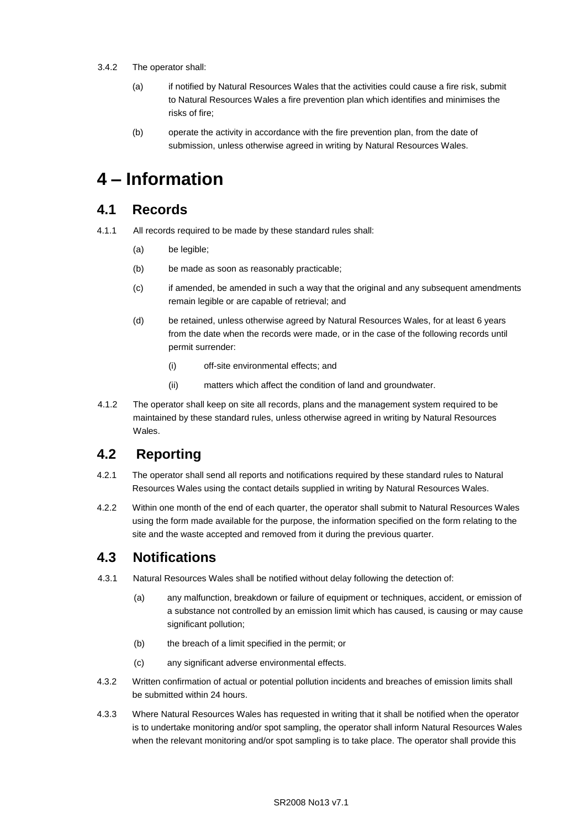#### 3.4.2 The operator shall:

- (a) if notified by Natural Resources Wales that the activities could cause a fire risk, submit to Natural Resources Wales a fire prevention plan which identifies and minimises the risks of fire;
- (b) operate the activity in accordance with the fire prevention plan, from the date of submission, unless otherwise agreed in writing by Natural Resources Wales.

## **4 – Information**

### **4.1 Records**

- 4.1.1 All records required to be made by these standard rules shall:
	- (a) be legible;
	- (b) be made as soon as reasonably practicable;
	- (c) if amended, be amended in such a way that the original and any subsequent amendments remain legible or are capable of retrieval; and
	- (d) be retained, unless otherwise agreed by Natural Resources Wales, for at least 6 years from the date when the records were made, or in the case of the following records until permit surrender:
		- (i) off-site environmental effects; and
		- (ii) matters which affect the condition of land and groundwater.
- 4.1.2 The operator shall keep on site all records, plans and the management system required to be maintained by these standard rules, unless otherwise agreed in writing by Natural Resources Wales.

### **4.2 Reporting**

- 4.2.1 The operator shall send all reports and notifications required by these standard rules to Natural Resources Wales using the contact details supplied in writing by Natural Resources Wales.
- 4.2.2 Within one month of the end of each quarter, the operator shall submit to Natural Resources Wales using the form made available for the purpose, the information specified on the form relating to the site and the waste accepted and removed from it during the previous quarter.

### **4.3 Notifications**

- 4.3.1 Natural Resources Wales shall be notified without delay following the detection of:
	- (a) any malfunction, breakdown or failure of equipment or techniques, accident, or emission of a substance not controlled by an emission limit which has caused, is causing or may cause significant pollution;
	- (b) the breach of a limit specified in the permit; or
	- (c) any significant adverse environmental effects.
- 4.3.2 Written confirmation of actual or potential pollution incidents and breaches of emission limits shall be submitted within 24 hours.
- 4.3.3 Where Natural Resources Wales has requested in writing that it shall be notified when the operator is to undertake monitoring and/or spot sampling, the operator shall inform Natural Resources Wales when the relevant monitoring and/or spot sampling is to take place. The operator shall provide this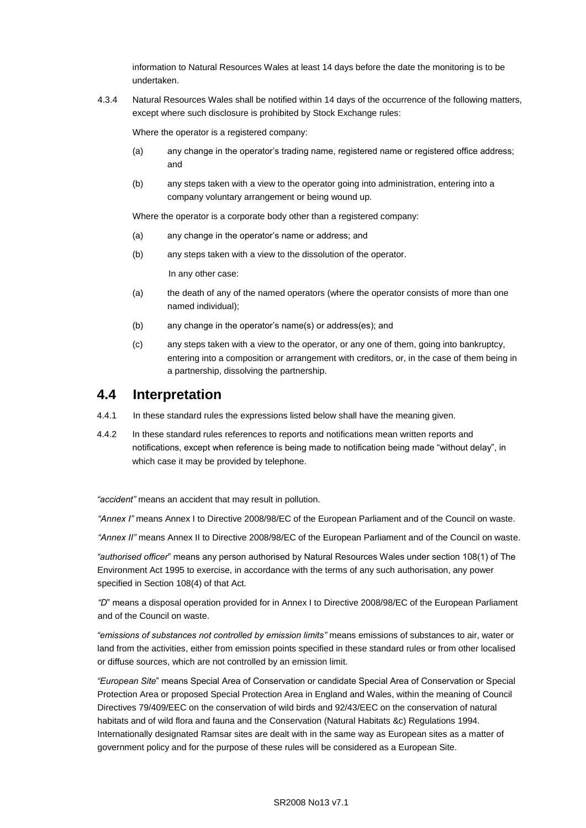information to Natural Resources Wales at least 14 days before the date the monitoring is to be undertaken.

4.3.4 Natural Resources Wales shall be notified within 14 days of the occurrence of the following matters, except where such disclosure is prohibited by Stock Exchange rules:

Where the operator is a registered company:

- (a) any change in the operator's trading name, registered name or registered office address; and
- (b) any steps taken with a view to the operator going into administration, entering into a company voluntary arrangement or being wound up.

Where the operator is a corporate body other than a registered company:

- (a) any change in the operator's name or address; and
- (b) any steps taken with a view to the dissolution of the operator.

In any other case:

- (a) the death of any of the named operators (where the operator consists of more than one named individual);
- (b) any change in the operator's name(s) or address(es); and
- (c) any steps taken with a view to the operator, or any one of them, going into bankruptcy, entering into a composition or arrangement with creditors, or, in the case of them being in a partnership, dissolving the partnership.

### **4.4 Interpretation**

- 4.4.1 In these standard rules the expressions listed below shall have the meaning given.
- 4.4.2 In these standard rules references to reports and notifications mean written reports and notifications, except when reference is being made to notification being made "without delay", in which case it may be provided by telephone.

*"accident"* means an accident that may result in pollution.

*"Annex I"* means Annex I to Directive 2008/98/EC of the European Parliament and of the Council on waste.

*"Annex II"* means Annex II to Directive 2008/98/EC of the European Parliament and of the Council on waste.

*"authorised officer*" means any person authorised by Natural Resources Wales under section 108(1) of The Environment Act 1995 to exercise, in accordance with the terms of any such authorisation, any power specified in Section 108(4) of that Act*.* 

*"D*" means a disposal operation provided for in Annex I to Directive 2008/98/EC of the European Parliament and of the Council on waste.

*"emissions of substances not controlled by emission limits"* means emissions of substances to air, water or land from the activities, either from emission points specified in these standard rules or from other localised or diffuse sources, which are not controlled by an emission limit.

*"European Site*" means Special Area of Conservation or candidate Special Area of Conservation or Special Protection Area or proposed Special Protection Area in England and Wales, within the meaning of Council Directives 79/409/EEC on the conservation of wild birds and 92/43/EEC on the conservation of natural habitats and of wild flora and fauna and the Conservation (Natural Habitats &c) Regulations 1994. Internationally designated Ramsar sites are dealt with in the same way as European sites as a matter of government policy and for the purpose of these rules will be considered as a European Site.